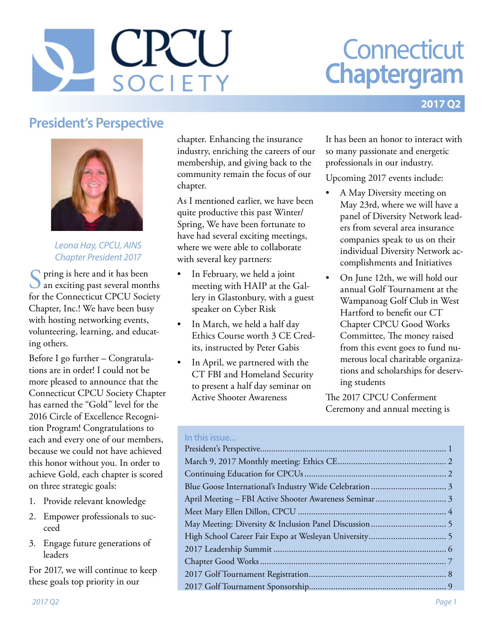# CPCL. OCIETY

## **Connecticut Chaptergram**

**2017 Q2**

### **President's Perspective**



#### *Leona Hay, CPCU, AINS Chapter President 2017*

S pring is here and it has been<br>
an exciting past several months for the Connecticut CPCU Society Chapter, Inc.! We have been busy with hosting networking events, volunteering, learning, and educating others.

Before I go further – Congratulations are in order! I could not be more pleased to announce that the Connecticut CPCU Society Chapter has earned the "Gold" level for the 2016 Circle of Excellence Recognition Program! Congratulations to each and every one of our members, because we could not have achieved this honor without you. In order to achieve Gold, each chapter is scored on three strategic goals:

- 1. Provide relevant knowledge
- 2. Empower professionals to succeed
- 3. Engage future generations of leaders

For 2017, we will continue to keep these goals top priority in our

chapter. Enhancing the insurance industry, enriching the careers of our membership, and giving back to the community remain the focus of our chapter.

As I mentioned earlier, we have been quite productive this past Winter/ Spring, We have been fortunate to have had several exciting meetings, where we were able to collaborate with several key partners:

- In February, we held a joint meeting with HAIP at the Gallery in Glastonbury, with a guest speaker on Cyber Risk
- In March, we held a half day Ethics Course worth 3 CE Credits, instructed by Peter Gabis
- In April, we partnered with the CT FBI and Homeland Security to present a half day seminar on Active Shooter Awareness

It has been an honor to interact with so many passionate and energetic professionals in our industry.

Upcoming 2017 events include:

- A May Diversity meeting on May 23rd, where we will have a panel of Diversity Network leaders from several area insurance companies speak to us on their individual Diversity Network accomplishments and Initiatives
- On June 12th, we will hold our annual Golf Tournament at the Wampanoag Golf Club in West Hartford to benefit our CT Chapter CPCU Good Works Committee, The money raised from this event goes to fund numerous local charitable organizations and scholarships for deserving students

The 2017 CPCU Conferment Ceremony and annual meeting is

#### **In this issue...**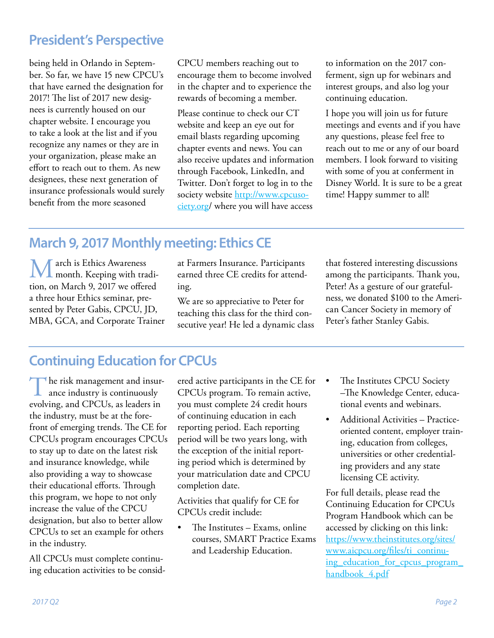### <span id="page-1-0"></span>**President's Perspective**

being held in Orlando in September. So far, we have 15 new CPCU's that have earned the designation for 2017! The list of 2017 new designees is currently housed on our chapter website. I encourage you to take a look at the list and if you recognize any names or they are in your organization, please make an effort to reach out to them. As new designees, these next generation of insurance professionals would surely benefit from the more seasoned

CPCU members reaching out to encourage them to become involved in the chapter and to experience the rewards of becoming a member.

Please continue to check our CT website and keep an eye out for email blasts regarding upcoming chapter events and news. You can also receive updates and information through Facebook, LinkedIn, and Twitter. Don't forget to log in to the society website [http://www.cpcuso](http://www.cpcusociety.org)[ciety.org/](http://www.cpcusociety.org) where you will have access

to information on the 2017 conferment, sign up for webinars and interest groups, and also log your continuing education.

I hope you will join us for future meetings and events and if you have any questions, please feel free to reach out to me or any of our board members. I look forward to visiting with some of you at conferment in Disney World. It is sure to be a great time! Happy summer to all!

### **March 9, 2017 Monthly meeting: Ethics CE**

March is Ethics Awareness<br>
month. Keeping with tradition, on March 9, 2017 we offered a three hour Ethics seminar, presented by Peter Gabis, CPCU, JD, MBA, GCA, and Corporate Trainer

at Farmers Insurance. Participants earned three CE credits for attending.

We are so appreciative to Peter for teaching this class for the third consecutive year! He led a dynamic class that fostered interesting discussions among the participants. Thank you, Peter! As a gesture of our gratefulness, we donated \$100 to the American Cancer Society in memory of Peter's father Stanley Gabis.

### **Continuing Education for CPCUs**

The risk management and insurance industry is continuously evolving, and CPCUs, as leaders in the industry, must be at the forefront of emerging trends. The CE for CPCUs program encourages CPCUs to stay up to date on the latest risk and insurance knowledge, while also providing a way to showcase their educational efforts. Through this program, we hope to not only increase the value of the CPCU designation, but also to better allow CPCUs to set an example for others in the industry.

All CPCUs must complete continuing education activities to be consid-

ered active participants in the CE for CPCUs program. To remain active, you must complete 24 credit hours of continuing education in each reporting period. Each reporting period will be two years long, with the exception of the initial reporting period which is determined by your matriculation date and CPCU completion date.

Activities that qualify for CE for CPCUs credit include:

• The Institutes – Exams, online courses, SMART Practice Exams and Leadership Education.

- The Institutes CPCU Society –The Knowledge Center, educational events and webinars.
- Additional Activities Practiceoriented content, employer training, education from colleges, universities or other credentialing providers and any state licensing CE activity.

For full details, please read the Continuing Education for CPCUs Program Handbook which can be accessed by clicking on this link: [https://www.theinstitutes.org/sites/](https://www.theinstitutes.org/sites/www.aicpcu.org/files/ti_continuing_education_for_cpcus_program_handbook_4.pdf) [www.aicpcu.org/files/ti\\_continu](https://www.theinstitutes.org/sites/www.aicpcu.org/files/ti_continuing_education_for_cpcus_program_handbook_4.pdf)[ing\\_education\\_for\\_cpcus\\_program\\_](https://www.theinstitutes.org/sites/www.aicpcu.org/files/ti_continuing_education_for_cpcus_program_handbook_4.pdf) handbook 4.pdf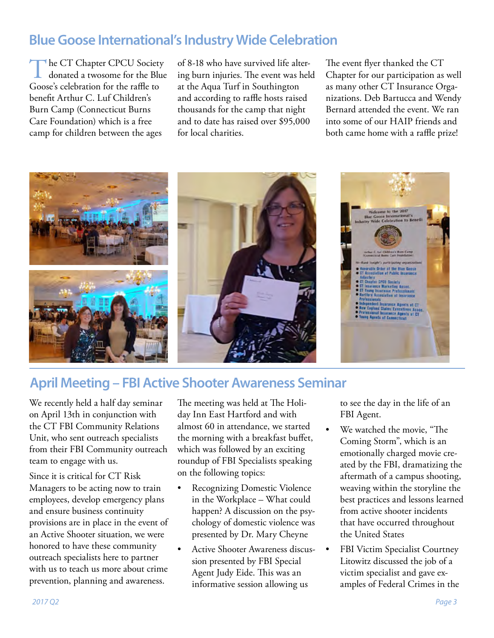### <span id="page-2-0"></span>**Blue Goose International's Industry Wide Celebration**

The CT Chapter CPCU Society donated a twosome for the Blue Goose's celebration for the raffle to benefit Arthur C. Luf Children's Burn Camp (Connecticut Burns Care Foundation) which is a free camp for children between the ages

of 8-18 who have survived life altering burn injuries. The event was held at the Aqua Turf in Southington and according to raffle hosts raised thousands for the camp that night and to date has raised over \$95,000 for local charities.

The event flyer thanked the CT Chapter for our participation as well as many other CT Insurance Organizations. Deb Bartucca and Wendy Bernard attended the event. We ran into some of our HAIP friends and both came home with a raffle prize!



### **April Meeting – FBI Active Shooter Awareness Seminar**

We recently held a half day seminar on April 13th in conjunction with the CT FBI Community Relations Unit, who sent outreach specialists from their FBI Community outreach team to engage with us.

Since it is critical for CT Risk Managers to be acting now to train employees, develop emergency plans and ensure business continuity provisions are in place in the event of an Active Shooter situation, we were honored to have these community outreach specialists here to partner with us to teach us more about crime prevention, planning and awareness.

The meeting was held at The Holiday Inn East Hartford and with almost 60 in attendance, we started the morning with a breakfast buffet, which was followed by an exciting roundup of FBI Specialists speaking on the following topics:

- Recognizing Domestic Violence in the Workplace – What could happen? A discussion on the psychology of domestic violence was presented by Dr. Mary Cheyne
- Active Shooter Awareness discussion presented by FBI Special Agent Judy Eide. This was an informative session allowing us

to see the day in the life of an FBI Agent.

- We watched the movie, "The Coming Storm", which is an emotionally charged movie created by the FBI, dramatizing the aftermath of a campus shooting, weaving within the storyline the best practices and lessons learned from active shooter incidents that have occurred throughout the United States
- FBI Victim Specialist Courtney Litowitz discussed the job of a victim specialist and gave examples of Federal Crimes in the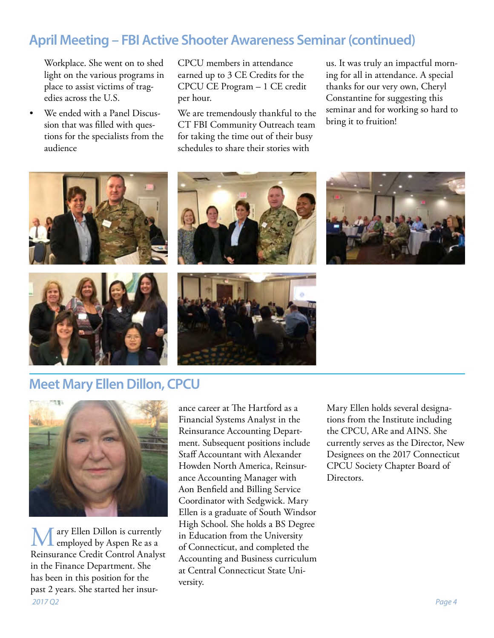### <span id="page-3-0"></span>**April Meeting – FBI Active Shooter Awareness Seminar (continued)**

Workplace. She went on to shed light on the various programs in place to assist victims of tragedies across the U.S.

We ended with a Panel Discussion that was filled with questions for the specialists from the audience

CPCU members in attendance earned up to 3 CE Credits for the CPCU CE Program – 1 CE credit per hour.

We are tremendously thankful to the CT FBI Community Outreach team for taking the time out of their busy schedules to share their stories with

us. It was truly an impactful morning for all in attendance. A special thanks for our very own, Cheryl Constantine for suggesting this seminar and for working so hard to bring it to fruition!



### **Meet Mary Ellen Dillon, CPCU**



*2017 Q2 Page 4* ary Ellen Dillon is currently employed by Aspen Re as a Reinsurance Credit Control Analyst in the Finance Department. She has been in this position for the past 2 years. She started her insur-

ance career at The Hartford as a Financial Systems Analyst in the Reinsurance Accounting Department. Subsequent positions include Staff Accountant with Alexander Howden North America, Reinsurance Accounting Manager with Aon Benfield and Billing Service Coordinator with Sedgwick. Mary Ellen is a graduate of South Windsor High School. She holds a BS Degree in Education from the University of Connecticut, and completed the Accounting and Business curriculum at Central Connecticut State University.

Mary Ellen holds several designations from the Institute including the CPCU, ARe and AINS. She currently serves as the Director, New Designees on the 2017 Connecticut CPCU Society Chapter Board of Directors.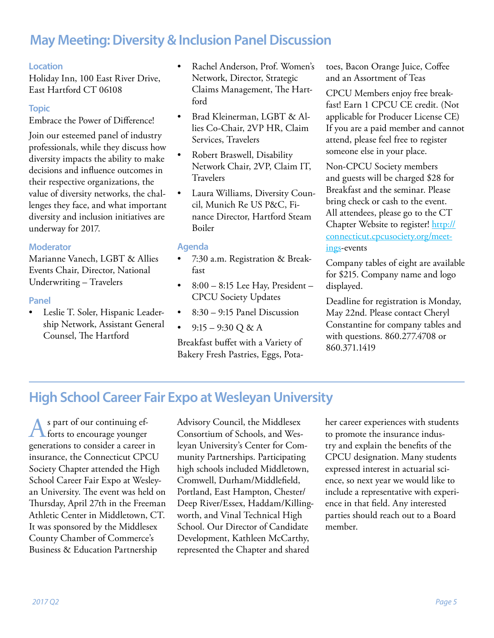### <span id="page-4-0"></span>**May Meeting: Diversity & Inclusion Panel Discussion**

#### **Location**

Holiday Inn, 100 East River Drive, East Hartford CT 06108

#### **Topic**

#### Embrace the Power of Difference!

Join our esteemed panel of industry professionals, while they discuss how diversity impacts the ability to make decisions and influence outcomes in their respective organizations, the value of diversity networks, the challenges they face, and what important diversity and inclusion initiatives are underway for 2017.

#### **Moderator**

Marianne Vanech, LGBT & Allies Events Chair, Director, National Underwriting – Travelers

#### **Panel**

• Leslie T. Soler, Hispanic Leadership Network, Assistant General Counsel, The Hartford

- Rachel Anderson, Prof. Women's Network, Director, Strategic Claims Management, The Hartford
- Brad Kleinerman, LGBT & Allies Co-Chair, 2VP HR, Claim Services, Travelers
- Robert Braswell, Disability Network Chair, 2VP, Claim IT, Travelers
- Laura Williams, Diversity Council, Munich Re US P&C, Finance Director, Hartford Steam Boiler

#### **Agenda**

- 7:30 a.m. Registration & Breakfast
- 8:00 8:15 Lee Hay, President CPCU Society Updates
- 8:30 9:15 Panel Discussion
- $9:15 9:30 Q & A$

Breakfast buffet with a Variety of Bakery Fresh Pastries, Eggs, Potatoes, Bacon Orange Juice, Coffee and an Assortment of Teas

CPCU Members enjoy free breakfast! Earn 1 CPCU CE credit. (Not applicable for Producer License CE) If you are a paid member and cannot attend, please feel free to register someone else in your place.

Non-CPCU Society members and guests will be charged \$28 for Breakfast and the seminar. Please bring check or cash to the event. All attendees, please go to the CT Chapter Website to register! [http://](http://connecticut.cpcusociety.org/meetings) [connecticut.cpcusociety.org/meet](http://connecticut.cpcusociety.org/meetings)[ings-](http://connecticut.cpcusociety.org/meetings)events

Company tables of eight are available for \$215. Company name and logo displayed.

Deadline for registration is Monday, May 22nd. Please contact Cheryl Constantine for company tables and with questions. 860.277.4708 or 860.371.1419

### **High School Career Fair Expo at Wesleyan University**

As part of our continuing ef-forts to encourage younger generations to consider a career in insurance, the Connecticut CPCU Society Chapter attended the High School Career Fair Expo at Wesleyan University. The event was held on Thursday, April 27th in the Freeman Athletic Center in Middletown, CT. It was sponsored by the Middlesex County Chamber of Commerce's Business & Education Partnership

Advisory Council, the Middlesex Consortium of Schools, and Wesleyan University's Center for Community Partnerships. Participating high schools included Middletown, Cromwell, Durham/Middlefield, Portland, East Hampton, Chester/ Deep River/Essex, Haddam/Killingworth, and Vinal Technical High School. Our Director of Candidate Development, Kathleen McCarthy, represented the Chapter and shared

her career experiences with students to promote the insurance industry and explain the benefits of the CPCU designation. Many students expressed interest in actuarial science, so next year we would like to include a representative with experience in that field. Any interested parties should reach out to a Board member.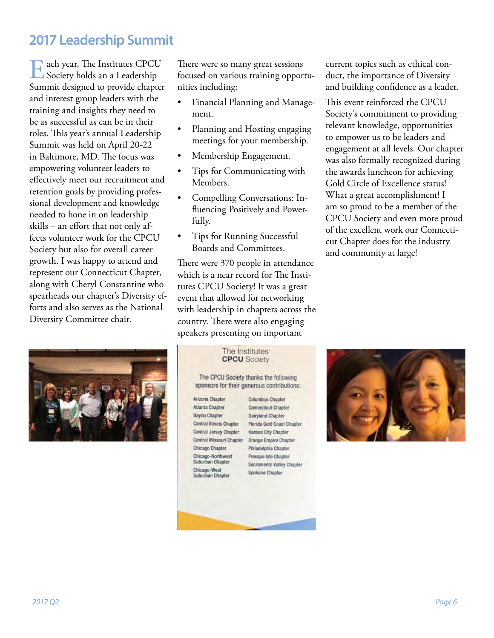### <span id="page-5-0"></span>**2017 Leadership Summit**

Each year, The Institutes CPCU<br>Society holds an a Leadership Summit designed to provide chapter and interest group leaders with the training and insights they need to be as successful as can be in their roles. This year's annual Leadership Summit was held on April 20-22 in Baltimore, MD. The focus was empowering volunteer leaders to effectively meet our recruitment and retention goals by providing professional development and knowledge needed to hone in on leadership skills – an effort that not only affects volunteer work for the CPCU Society but also for overall career growth. I was happy to attend and represent our Connecticut Chapter, along with Cheryl Constantine who spearheads our chapter's Diversity efforts and also serves as the National Diversity Committee chair.



There were so many great sessions focused on various training opportunities including:

- Financial Planning and Management.
- Planning and Hosting engaging meetings for your membership.
- Membership Engagement.
- Tips for Communicating with Members.
- Compelling Conversations: Influencing Positively and Powerfully.
- Tips for Running Successful Boards and Committees.

There were 370 people in attendance which is a near record for The Institutes CPCU Society! It was a great event that allowed for networking with leadership in chapters across the country. There were also engaging speakers presenting on important

current topics such as ethical conduct, the importance of Diversity and building confidence as a leader.

This event reinforced the CPCU Society's commitment to providing relevant knowledge, opportunities to empower us to be leaders and engagement at all levels. Our chapter was also formally recognized during the awards luncheon for achieving Gold Circle of Excellence status! What a great accomplishment! I am so proud to be a member of the CPCU Society and even more proud of the excellent work our Connecticut Chapter does for the industry and community at large!

#### The Institutes<sup>®</sup> **CPCU** Society

The CPCU Society thanks the following sponsors for their generous contributions:

Arizona Chapter **Atlanta Chanter Bayou Chapter** Central Illinois Chapter Central Jersey Chapter Central Missouri Chapter Chicago Chapter Chicago-Northwest Suburban Chapter Chicago-West Suburban Chapter

**Columbus Chapter** Connecticut Chapter Dairyland Chapter Florida Gold Coast Chapter Kansas City Chapter Orange Empire Chapter Philadelphia Chapter Presque Isle Chapter Sacramento Valley Chapter Spokane Chapter

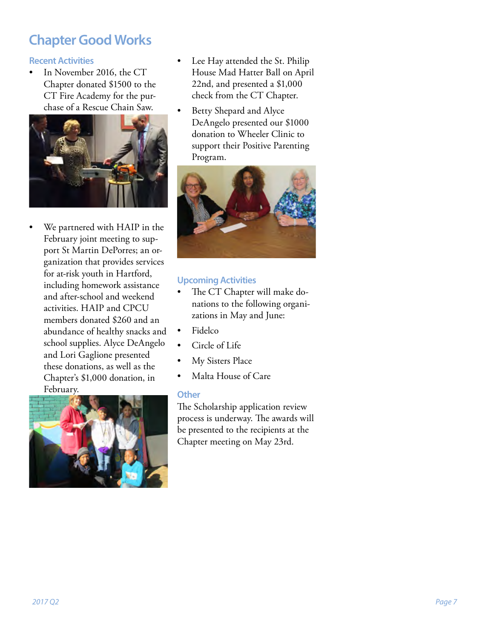### <span id="page-6-0"></span>**Chapter Good Works**

#### **Recent Activities**

• In November 2016, the CT Chapter donated \$1500 to the CT Fire Academy for the purchase of a Rescue Chain Saw.



We partnered with HAIP in the February joint meeting to support St Martin DePorres; an organization that provides services for at-risk youth in Hartford, including homework assistance and after-school and weekend activities. HAIP and CPCU members donated \$260 and an abundance of healthy snacks and school supplies. Alyce DeAngelo and Lori Gaglione presented these donations, as well as the Chapter's \$1,000 donation, in February.



- Lee Hay attended the St. Philip House Mad Hatter Ball on April 22nd, and presented a \$1,000 check from the CT Chapter.
- Betty Shepard and Alyce DeAngelo presented our \$1000 donation to Wheeler Clinic to support their Positive Parenting Program.



#### **Upcoming Activities**

- The CT Chapter will make donations to the following organizations in May and June:
- Fidelco
- Circle of Life
- My Sisters Place
- Malta House of Care

#### **Other**

The Scholarship application review process is underway. The awards will be presented to the recipients at the Chapter meeting on May 23rd.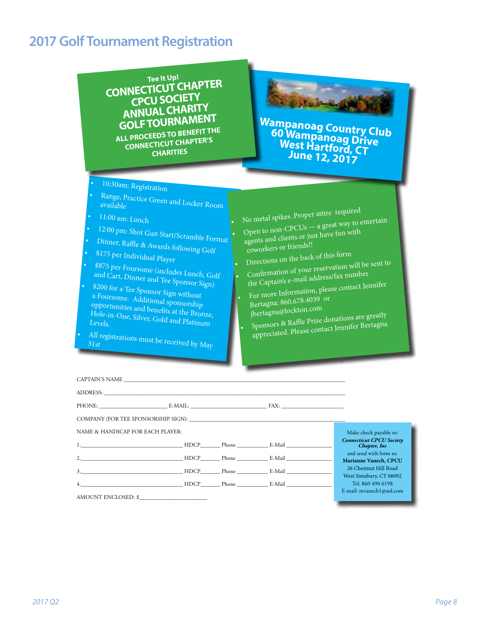### <span id="page-7-0"></span>**2017 Golf Tournament Registration**

**Tee It Up! CONNECTICUT CHAPTER CPCU SOCIETY ANNUAL CHARITY GOLF TOURNAMENT ALL PROCEEDS TO BENEFIT THE CONNECTICUT CHAPTER'S CHARITIES**



**Wampanoag Country Club 60 Wampanoag Drive West Hartford, CT June 12, 2017**

•10:30am: Registration

Range, Practice Green and Locker Room available

11:00 am: Lunch

•

- •12:00 pm: Shot Gun Start/Scramble Format
- Dinner, Raffle & Awards following Golf
- •\$175 per Individual Player
- • \$875 per Foursome (includes Lunch, Golf and Cart, Dinner and Tee Sponsor Sign)
- •\$200 for a Tee Sponsor Sign without a Foursome. Additional sponsorship opportunities and benefits at the Bronze, Hole-in-One, Silver, Gold and Platinum
- All registrations must be received by  $M_{\rm{ay}}$

No metal spikes. Proper attire required

- Open to non-CPCUs a great way to entertain agents and clients or just have fun with coworkers or friends!!
- Directions on the back of this form
- • Confirmation of your reservation will be sent to the Captain's e-mail address/fax number
- For more Information, please contact Jennifer
- Bertagna: 860.678.4039 or jbertagna@lockton.com
	- Sponsors & Raffle Prize donations are greatly appreciated. Please contact Jennifer Bertagna

| CAPTAIN'S NAME                                                                                                                                                                                                                 |  |                                                 |
|--------------------------------------------------------------------------------------------------------------------------------------------------------------------------------------------------------------------------------|--|-------------------------------------------------|
|                                                                                                                                                                                                                                |  |                                                 |
| PHONE: E-MAIL: E-MAIL: E-MAIL: FAX:                                                                                                                                                                                            |  |                                                 |
|                                                                                                                                                                                                                                |  |                                                 |
| NAME & HANDICAP FOR EACH PLAYER:                                                                                                                                                                                               |  | Make check payable to:                          |
| 1. Belong HDCP Phone E-Mail                                                                                                                                                                                                    |  | Connecticut CPCU Society<br>Chapter, Inc        |
| 2. <b>E-Mail E-Mail E-Mail E-Mail E-Mail E-Mail E-Mail E-Mail E-Mail E-Mail E-Mail E-Mail E-Mail E-Mail E-Mail E-Mail E-Mail E-Mail E-Mail E-Mail E-Mail E-Mail E-Mail E-Mail E-</b>                                           |  | and send with form to:<br>Marianne Vanech, CPCU |
| 3. Block HDCP Phone E-Mail                                                                                                                                                                                                     |  | 26 Chestnut Hill Road                           |
| 4. E-Mail E-Mail E-Mail E-Mail E-Mail E-Mail E-Mail E-Mail E-Mail E-Mail E-Mail E-Mail E-Mail E-Mail E-Mail E-Mail E-Mail E-Mail E-Mail E-Mail E-Mail E-Mail E-Mail E-Mail E-Mail E-Mail E-Mail E-Mail E-Mail E-Mail E-Mail E- |  | West Simsbury, CT 06092<br>Tel: 860 490 6198    |
| AMOUNT ENCLOSED: \$                                                                                                                                                                                                            |  | E-mail: mvanech1@aol.com                        |

•

•

•